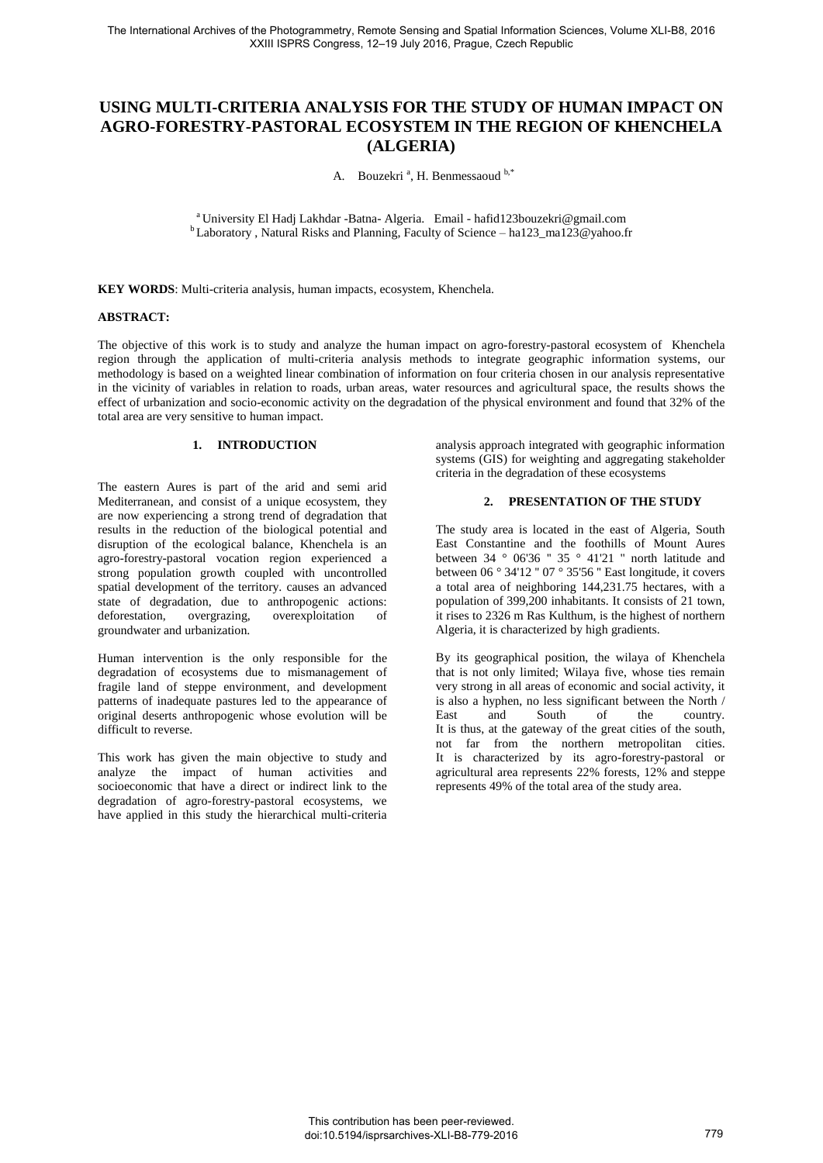# **USING MULTI-CRITERIA ANALYSIS FOR THE STUDY OF HUMAN IMPACT ON AGRO-FORESTRY-PASTORAL ECOSYSTEM IN THE REGION OF KHENCHELA (ALGERIA)**

A. Bouzekri<sup>a</sup>, H. Benmessaoud b,\*

<sup>a</sup> University El Hadj Lakhdar -Batna- Algeria. Email - hafid123bouzekri@gmail.com <sup>b</sup>Laboratory, Natural Risks and Planning, Faculty of Science – ha123\_ma123@yahoo.fr

**KEY WORDS**: Multi-criteria analysis, human impacts, ecosystem, Khenchela.

# **ABSTRACT:**

The objective of this work is to study and analyze the human impact on agro-forestry-pastoral ecosystem of Khenchela region through the application of multi-criteria analysis methods to integrate geographic information systems, our methodology is based on a weighted linear combination of information on four criteria chosen in our analysis representative in the vicinity of variables in relation to roads, urban areas, water resources and agricultural space, the results shows the effect of urbanization and socio-economic activity on the degradation of the physical environment and found that 32% of the total area are very sensitive to human impact.

# **1. INTRODUCTION**

The eastern Aures is part of the arid and semi arid Mediterranean, and consist of a unique ecosystem, they are now experiencing a strong trend of degradation that results in the reduction of the biological potential and disruption of the ecological balance, Khenchela is an agro-forestry-pastoral vocation region experienced a strong population growth coupled with uncontrolled spatial development of the territory. causes an advanced state of degradation, due to anthropogenic actions: deforestation, overgrazing, overexploitation of groundwater and urbanization.

Human intervention is the only responsible for the degradation of ecosystems due to mismanagement of fragile land of steppe environment, and development patterns of inadequate pastures led to the appearance of original deserts anthropogenic whose evolution will be difficult to reverse.

This work has given the main objective to study and analyze the impact of human activities and socioeconomic that have a direct or indirect link to the degradation of agro-forestry-pastoral ecosystems, we have applied in this study the hierarchical multi-criteria analysis approach integrated with geographic information systems (GIS) for weighting and aggregating stakeholder criteria in the degradation of these ecosystems

# **2. PRESENTATION OF THE STUDY**

The study area is located in the east of Algeria, South East Constantine and the foothills of Mount Aures between  $34 \text{ }^{\circ}$  06'36 "  $35 \text{ }^{\circ}$  41'21 " north latitude and between  $0.6^\circ$  34'12"  $0.07^\circ$  35'56" East longitude, it covers a total area of neighboring 144,231.75 hectares, with a population of 399,200 inhabitants. It consists of 21 town, it rises to 2326 m Ras Kulthum, is the highest of northern Algeria, it is characterized by high gradients.

By its geographical position, the wilaya of Khenchela that is not only limited; Wilaya five, whose ties remain very strong in all areas of economic and social activity, it is also a hyphen, no less significant between the North /<br>East and South of the country. East and South of the country. It is thus, at the gateway of the great cities of the south, not far from the northern metropolitan cities. It is characterized by its agro-forestry-pastoral or agricultural area represents 22% forests, 12% and steppe represents 49% of the total area of the study area.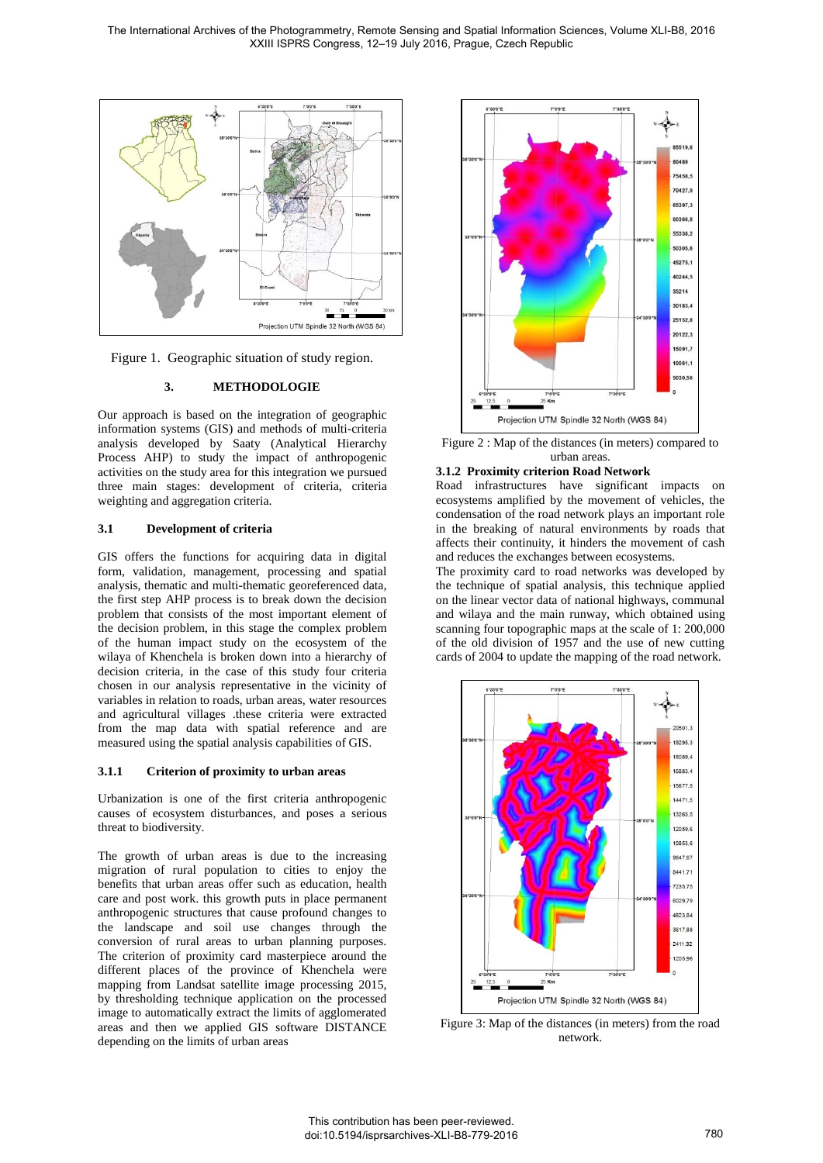

Figure 1. Geographic situation of study region.

# **3. METHODOLOGIE**

Our approach is based on the integration of geographic information systems (GIS) and methods of multi-criteria analysis developed by Saaty (Analytical Hierarchy Process AHP) to study the impact of anthropogenic activities on the study area for this integration we pursued three main stages: development of criteria, criteria weighting and aggregation criteria.

## **3.1 Development of criteria**

GIS offers the functions for acquiring data in digital form, validation, management, processing and spatial analysis, thematic and multi-thematic georeferenced data, the first step AHP process is to break down the decision problem that consists of the most important element of the decision problem, in this stage the complex problem of the human impact study on the ecosystem of the wilaya of Khenchela is broken down into a hierarchy of decision criteria, in the case of this study four criteria chosen in our analysis representative in the vicinity of variables in relation to roads, urban areas, water resources and agricultural villages .these criteria were extracted from the map data with spatial reference and are measured using the spatial analysis capabilities of GIS.

## **3.1.1 Criterion of proximity to urban areas**

Urbanization is one of the first criteria anthropogenic causes of ecosystem disturbances, and poses a serious threat to biodiversity.

The growth of urban areas is due to the increasing migration of rural population to cities to enjoy the benefits that urban areas offer such as education, health care and post work. this growth puts in place permanent anthropogenic structures that cause profound changes to the landscape and soil use changes through the conversion of rural areas to urban planning purposes. The criterion of proximity card masterpiece around the different places of the province of Khenchela were mapping from Landsat satellite image processing 2015, by thresholding technique application on the processed image to automatically extract the limits of agglomerated areas and then we applied GIS software DISTANCE depending on the limits of urban areas



Figure 2 : Map of the distances (in meters) compared to urban areas.

# **3.1.2 Proximity criterion Road Network**

Road infrastructures have significant impacts on ecosystems amplified by the movement of vehicles, the condensation of the road network plays an important role in the breaking of natural environments by roads that affects their continuity, it hinders the movement of cash and reduces the exchanges between ecosystems.

The proximity card to road networks was developed by the technique of spatial analysis, this technique applied on the linear vector data of national highways, communal and wilaya and the main runway, which obtained using scanning four topographic maps at the scale of 1: 200,000 of the old division of 1957 and the use of new cutting cards of 2004 to update the mapping of the road network.



Figure 3: Map of the distances (in meters) from the road network.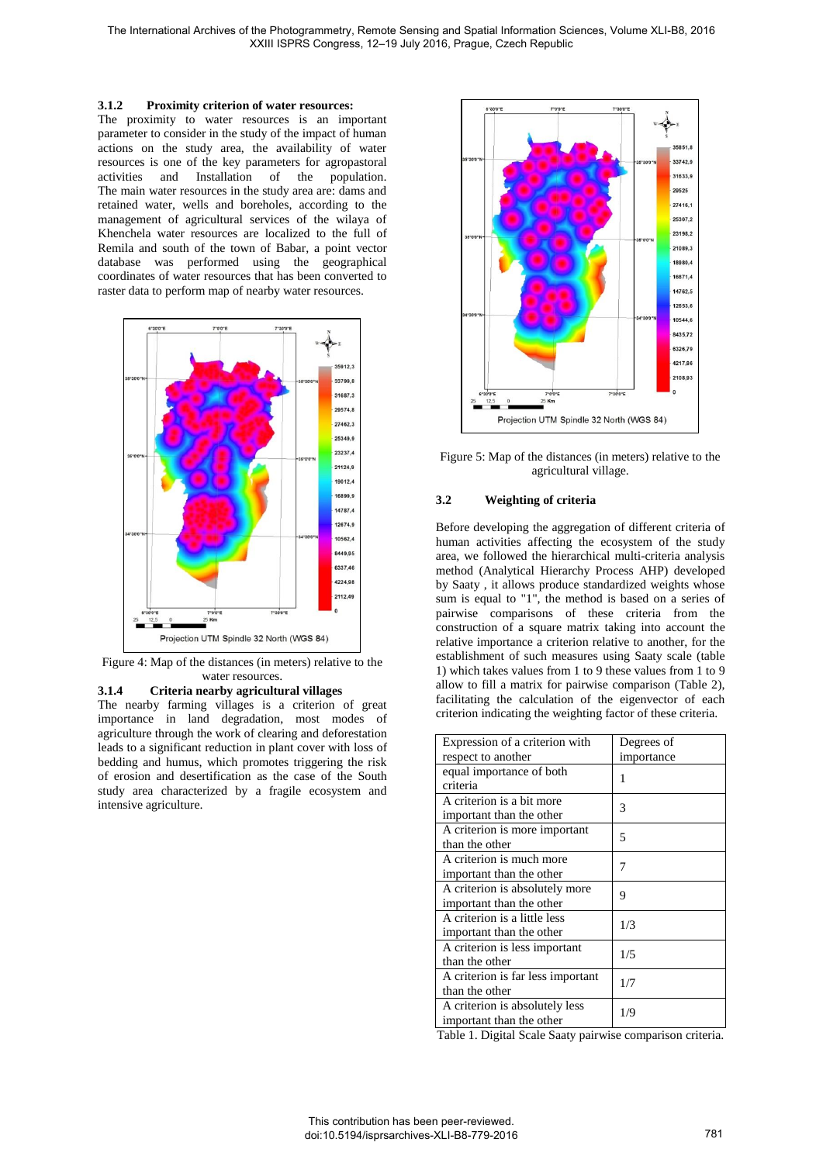#### **3.1.2 Proximity criterion of water resources:**

The proximity to water resources is an important parameter to consider in the study of the impact of human actions on the study area, the availability of water resources is one of the key parameters for agropastoral activities and Installation of the population. activities and Installation The main water resources in the study area are: dams and retained water, wells and boreholes, according to the management of agricultural services of the wilaya of Khenchela water resources are localized to the full of Remila and south of the town of Babar, a point vector database was performed using the geographical coordinates of water resources that has been converted to raster data to perform map of nearby water resources.



Figure 4: Map of the distances (in meters) relative to the water resources.

#### **3.1.4 Criteria nearby agricultural villages**

The nearby farming villages is a criterion of great importance in land degradation, most modes of agriculture through the work of clearing and deforestation leads to a significant reduction in plant cover with loss of bedding and humus, which promotes triggering the risk of erosion and desertification as the case of the South study area characterized by a fragile ecosystem and intensive agriculture.



Figure 5: Map of the distances (in meters) relative to the agricultural village.

#### **3.2 Weighting of criteria**

Before developing the aggregation of different criteria of human activities affecting the ecosystem of the study area, we followed the hierarchical multi-criteria analysis method (Analytical Hierarchy Process AHP) developed by Saaty , it allows produce standardized weights whose sum is equal to "1", the method is based on a series of pairwise comparisons of these criteria from the construction of a square matrix taking into account the relative importance a criterion relative to another, for the establishment of such measures using Saaty scale (table 1) which takes values from 1 to 9 these values from 1 to 9 allow to fill a matrix for pairwise comparison (Table 2), facilitating the calculation of the eigenvector of each criterion indicating the weighting factor of these criteria.

| Expression of a criterion with    | Degrees of |  |
|-----------------------------------|------------|--|
| respect to another                | importance |  |
| equal importance of both          | 1          |  |
| criteria                          |            |  |
| A criterion is a bit more         | 3          |  |
| important than the other          |            |  |
| A criterion is more important     | 5          |  |
| than the other                    |            |  |
| A criterion is much more          | 7          |  |
| important than the other          |            |  |
| A criterion is absolutely more    | 9          |  |
| important than the other          |            |  |
| A criterion is a little less      | 1/3        |  |
| important than the other          |            |  |
| A criterion is less important     | 1/5        |  |
| than the other                    |            |  |
| A criterion is far less important |            |  |
| than the other                    | 1/7        |  |
| A criterion is absolutely less    | 1/9        |  |
| important than the other          |            |  |

Table 1. Digital Scale Saaty pairwise comparison criteria.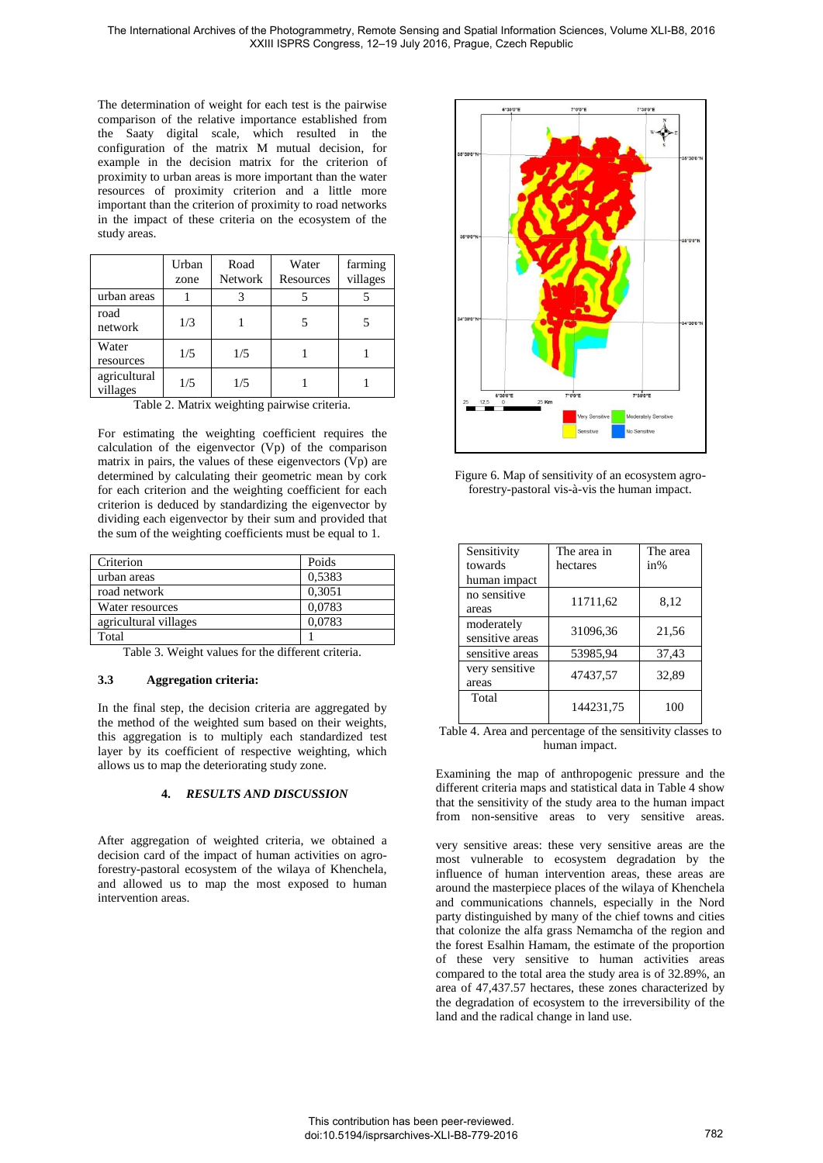The determination of weight for each test is the pairwise comparison of the relative importance established from the Saaty digital scale, which resulted in the configuration of the matrix M mutual decision, for example in the decision matrix for the criterion of proximity to urban areas is more important than the water resources of proximity criterion and a little more important than the criterion of proximity to road networks in the impact of these criteria on the ecosystem of the study areas.

|                          | Urban<br>zone | Road<br>Network | Water<br>Resources | farming<br>villages |
|--------------------------|---------------|-----------------|--------------------|---------------------|
| urban areas              |               |                 |                    |                     |
| road<br>network          | 1/3           |                 |                    |                     |
| Water<br>resources       | 1/5           | 1/5             |                    |                     |
| agricultural<br>villages | 1/5           | 1/5             |                    |                     |

Table 2. Matrix weighting pairwise criteria.

For estimating the weighting coefficient requires the calculation of the eigenvector (Vp) of the comparison matrix in pairs, the values of these eigenvectors  $(Vp)$  are determined by calculating their geometric mean by cork for each criterion and the weighting coefficient for each criterion is deduced by standardizing the eigenvector by dividing each eigenvector by their sum and provided that the sum of the weighting coefficients must be equal to 1.

| Criterion             | Poids  |
|-----------------------|--------|
| urban areas           | 0.5383 |
| road network          | 0,3051 |
| Water resources       | 0.0783 |
| agricultural villages | 0.0783 |
| Total                 |        |

Table 3. Weight values for the different criteria.

## **3.3 Aggregation criteria:**

In the final step, the decision criteria are aggregated by the method of the weighted sum based on their weights, this aggregation is to multiply each standardized test layer by its coefficient of respective weighting, which allows us to map the deteriorating study zone.

## **4.** *RESULTS AND DISCUSSION*

After aggregation of weighted criteria, we obtained a decision card of the impact of human activities on agroforestry-pastoral ecosystem of the wilaya of Khenchela, and allowed us to map the most exposed to human intervention areas.



Figure 6. Map of sensitivity of an ecosystem agroforestry-pastoral vis-à-vis the human impact.

| Sensitivity     | The area in | The area |  |
|-----------------|-------------|----------|--|
| towards         | hectares    | $in\%$   |  |
| human impact    |             |          |  |
| no sensitive    | 11711,62    | 8,12     |  |
| areas           |             |          |  |
| moderately      | 31096,36    | 21,56    |  |
| sensitive areas |             |          |  |
| sensitive areas | 53985,94    | 37,43    |  |
| very sensitive  | 47437,57    | 32,89    |  |
| areas           |             |          |  |
| Total           | 144231,75   | 100      |  |

Table 4. Area and percentage of the sensitivity classes to human impact.

Examining the map of anthropogenic pressure and the different criteria maps and statistical data in Table 4 show that the sensitivity of the study area to the human impact from non-sensitive areas to very sensitive areas.

very sensitive areas: these very sensitive areas are the most vulnerable to ecosystem degradation by the influence of human intervention areas, these areas are around the masterpiece places of the wilaya of Khenchela and communications channels, especially in the Nord party distinguished by many of the chief towns and cities that colonize the alfa grass Nemamcha of the region and the forest Esalhin Hamam, the estimate of the proportion of these very sensitive to human activities areas compared to the total area the study area is of 32.89%, an area of 47,437.57 hectares, these zones characterized by the degradation of ecosystem to the irreversibility of the land and the radical change in land use.